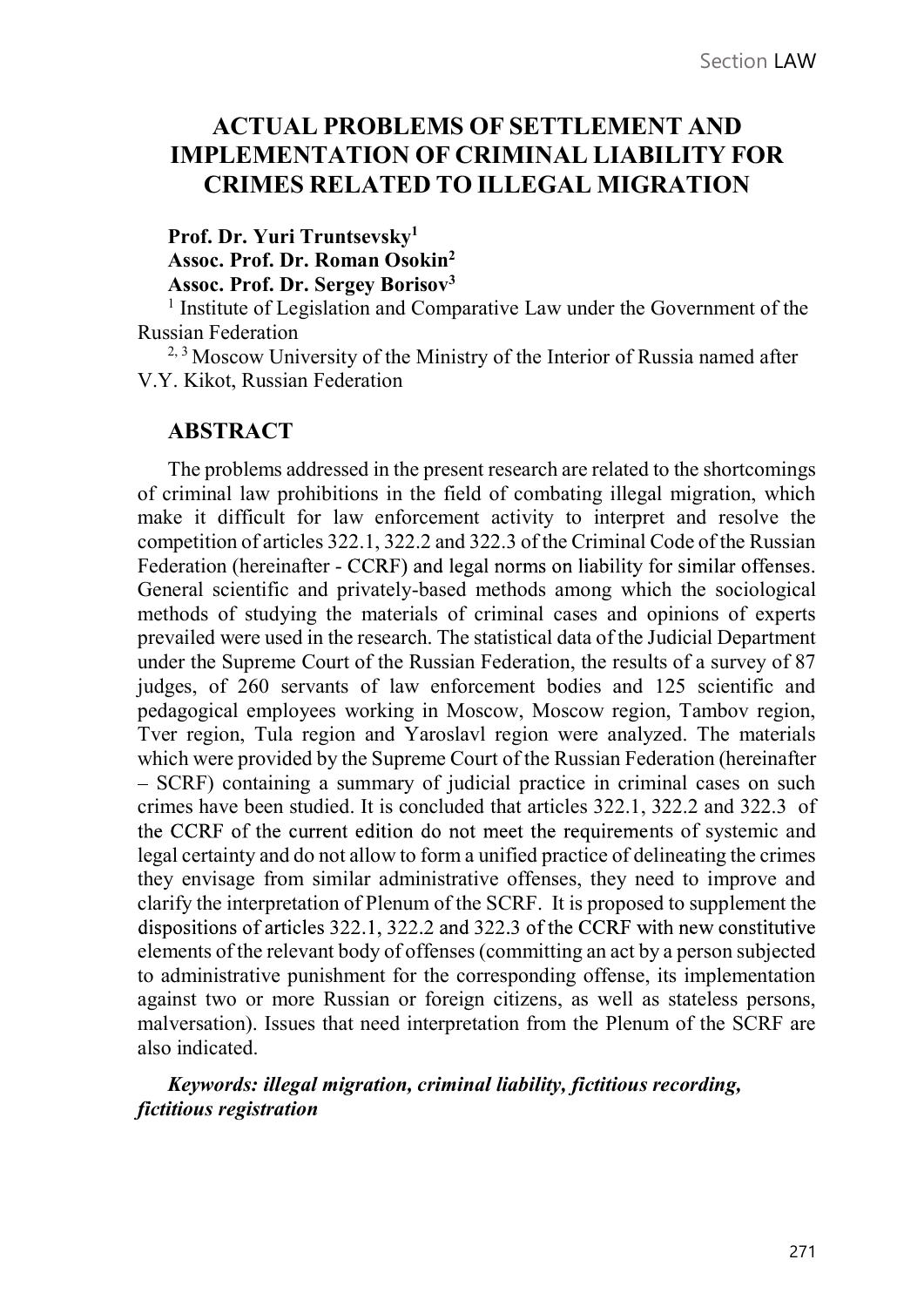# ACTUAL PROBLEMS OF SETTLEMENT AND IMPLEMENTATION OF CRIMINAL LIABILITY FOR CRIMES RELATED TO ILLEGAL MIGRATION

Prof. Dr. Yuri Truntsevsky<sup>1</sup> Assoc. Prof. Dr. Roman Osokin2 Assoc. Prof. Dr. Sergey Borisov3

<sup>1</sup> Institute of Legislation and Comparative Law under the Government of the Russian Federation

 $2, 3$  Moscow University of the Ministry of the Interior of Russia named after V.Y. Kikot, Russian Federation

### ABSTRACT

The problems addressed in the present research are related to the shortcomings of criminal law prohibitions in the field of combating illegal migration, which make it difficult for law enforcement activity to interpret and resolve the competition of articles 322.1, 322.2 and 322.3 of the Criminal Code of the Russian Federation (hereinafter - CCRF) and legal norms on liability for similar offenses. General scientific and privately-based methods among which the sociological methods of studying the materials of criminal cases and opinions of experts prevailed were used in the research. The statistical data of the Judicial Department under the Supreme Court of the Russian Federation, the results of a survey of 87 judges, of 260 servants of law enforcement bodies and 125 scientific and pedagogical employees working in Moscow, Moscow region, Tambov region, Tver region, Tula region and Yaroslavl region were analyzed. The materials which were provided by the Supreme Court of the Russian Federation (hereinafter - SCRF) containing a summary of judicial practice in criminal cases on such crimes have been studied. It is concluded that articles 322.1, 322.2 and 322.3 of the CCRF of the current edition do not meet the requirements of systemic and legal certainty and do not allow to form a unified practice of delineating the crimes they envisage from similar administrative offenses, they need to improve and clarify the interpretation of Plenum of the SCRF. It is proposed to supplement the dispositions of articles 322.1, 322.2 and 322.3 of the CCRF with new constitutive elements of the relevant body of offenses (committing an act by a person subjected to administrative punishment for the corresponding offense, its implementation against two or more Russian or foreign citizens, as well as stateless persons, malversation). Issues that need interpretation from the Plenum of the SCRF are also indicated.

Keywords: illegal migration, criminal liability, fictitious recording, fictitious registration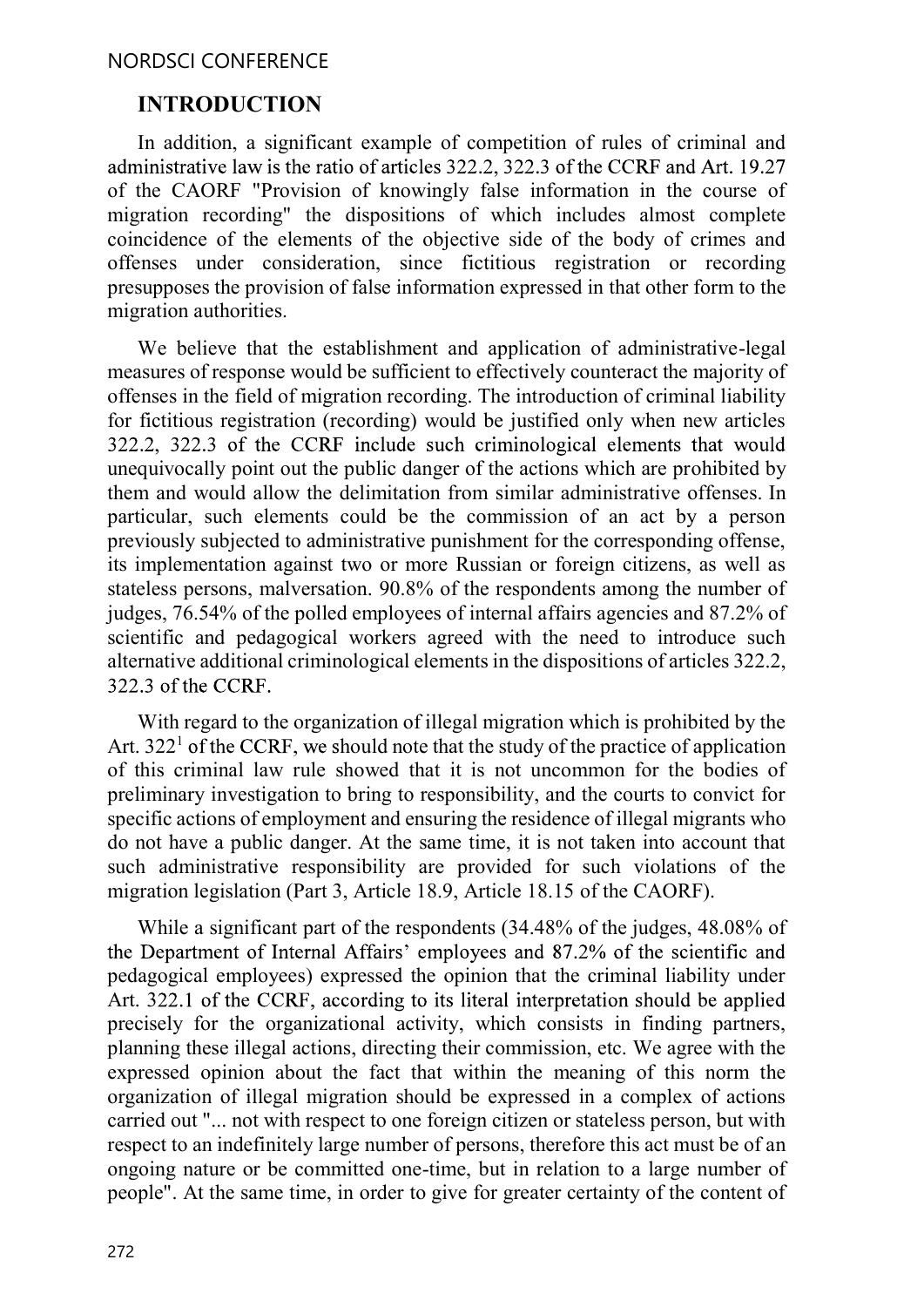# INTRODUCTION

In addition, a significant example of competition of rules of criminal and administrative law is the ratio of articles 322.2, 322.3 of the CCRF and Art. 19.27 of the CAORF "Provision of knowingly false information in the course of migration recording" the dispositions of which includes almost complete coincidence of the elements of the objective side of the body of crimes and offenses under consideration, since fictitious registration or recording presupposes the provision of false information expressed in that other form to the migration authorities.

We believe that the establishment and application of administrative-legal measures of response would be sufficient to effectively counteract the majority of offenses in the field of migration recording. The introduction of criminal liability for fictitious registration (recording) would be justified only when new articles 322.2, 322.3 of the CCRF include such criminological elements that would unequivocally point out the public danger of the actions which are prohibited by them and would allow the delimitation from similar administrative offenses. In particular, such elements could be the commission of an act by a person previously subjected to administrative punishment for the corresponding offense, its implementation against two or more Russian or foreign citizens, as well as stateless persons, malversation. 90.8% of the respondents among the number of judges, 76.54% of the polled employees of internal affairs agencies and 87.2% of scientific and pedagogical workers agreed with the need to introduce such alternative additional criminological elements in the dispositions of articles 322.2, 322.3 of the CCRF.

With regard to the organization of illegal migration which is prohibited by the Art.  $322<sup>1</sup>$  of the CCRF, we should note that the study of the practice of application of this criminal law rule showed that it is not uncommon for the bodies of preliminary investigation to bring to responsibility, and the courts to convict for specific actions of employment and ensuring the residence of illegal migrants who do not have a public danger. At the same time, it is not taken into account that such administrative responsibility are provided for such violations of the migration legislation (Part 3, Article 18.9, Article 18.15 of the CAORF).

While a significant part of the respondents (34.48% of the judges, 48.08% of the Department of Internal Affairs' employees and 87.2% of the scientific and pedagogical employees) expressed the opinion that the criminal liability under Art. 322.1 of the CCRF, according to its literal interpretation should be applied precisely for the organizational activity, which consists in finding partners, planning these illegal actions, directing their commission, etc. We agree with the expressed opinion about the fact that within the meaning of this norm the organization of illegal migration should be expressed in a complex of actions carried out "... not with respect to one foreign citizen or stateless person, but with respect to an indefinitely large number of persons, therefore this act must be of an ongoing nature or be committed one-time, but in relation to a large number of people". At the same time, in order to give for greater certainty of the content of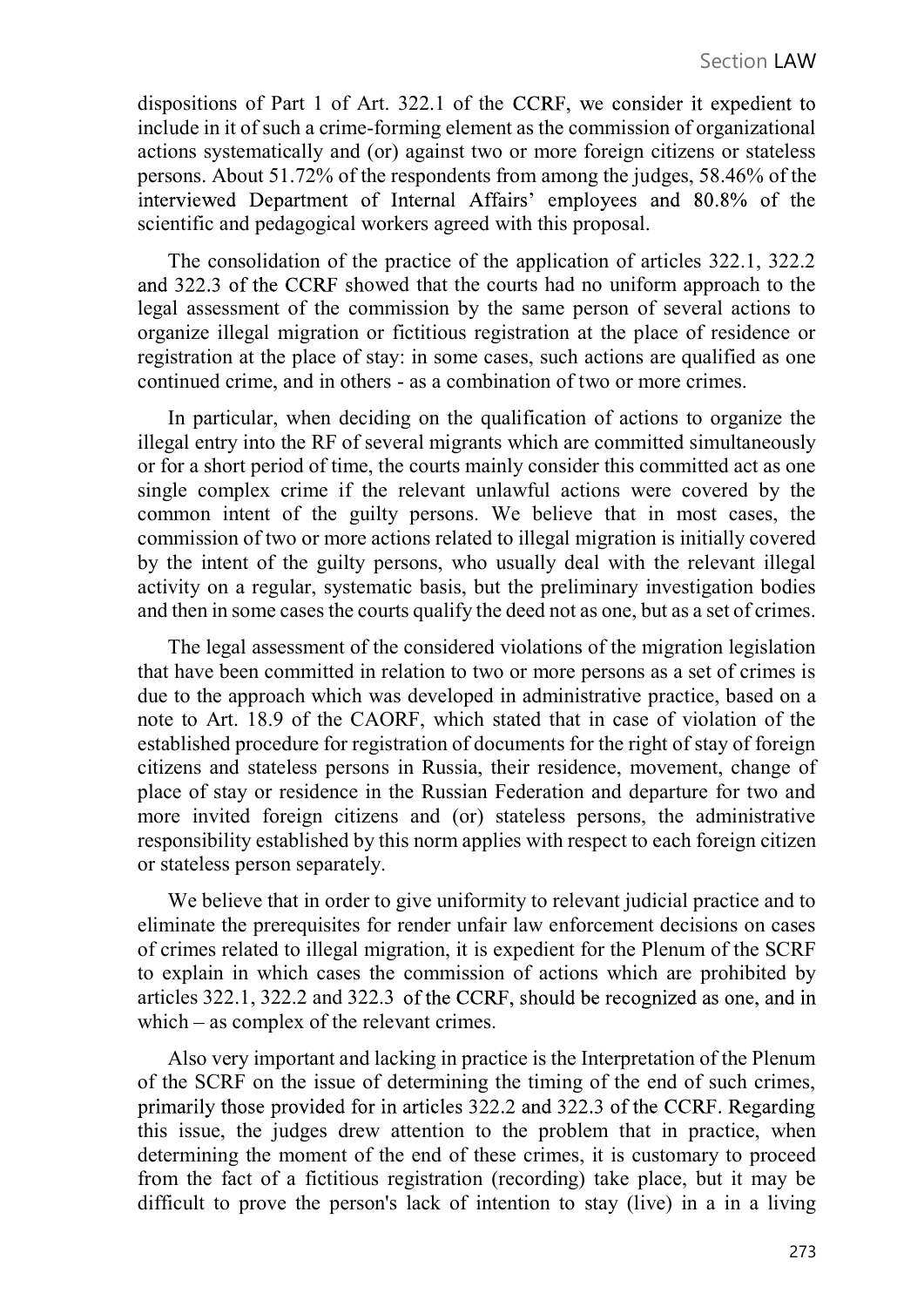dispositions of Part 1 of Art. 322.1 of the CCRF, we consider it expedient to include in it of such a crime-forming element as the commission of organizational actions systematically and (or) against two or more foreign citizens or stateless persons. About 51.72% of the respondents from among the judges, 58.46% of the interviewed Department of Internal Affairs' employees and 80.8% of the scientific and pedagogical workers agreed with this proposal.

The consolidation of the practice of the application of articles 322.1, 322.2 and 322.3 of the CCRF showed that the courts had no uniform approach to the legal assessment of the commission by the same person of several actions to organize illegal migration or fictitious registration at the place of residence or registration at the place of stay: in some cases, such actions are qualified as one continued crime, and in others - as a combination of two or more crimes.

In particular, when deciding on the qualification of actions to organize the illegal entry into the RF of several migrants which are committed simultaneously or for a short period of time, the courts mainly consider this committed act as one single complex crime if the relevant unlawful actions were covered by the common intent of the guilty persons. We believe that in most cases, the commission of two or more actions related to illegal migration is initially covered by the intent of the guilty persons, who usually deal with the relevant illegal activity on a regular, systematic basis, but the preliminary investigation bodies and then in some cases the courts qualify the deed not as one, but as a set of crimes.

The legal assessment of the considered violations of the migration legislation that have been committed in relation to two or more persons as a set of crimes is due to the approach which was developed in administrative practice, based on a note to Art. 18.9 of the CAORF, which stated that in case of violation of the established procedure for registration of documents for the right of stay of foreign citizens and stateless persons in Russia, their residence, movement, change of place of stay or residence in the Russian Federation and departure for two and more invited foreign citizens and (or) stateless persons, the administrative responsibility established by this norm applies with respect to each foreign citizen or stateless person separately.

We believe that in order to give uniformity to relevant judicial practice and to eliminate the prerequisites for render unfair law enforcement decisions on cases of crimes related to illegal migration, it is expedient for the Plenum of the SCRF to explain in which cases the commission of actions which are prohibited by articles 322.1, 322.2 and 322.3 of the CCRF, should be recognized as one, and in which – as complex of the relevant crimes.

Also very important and lacking in practice is the Interpretation of the Plenum of the SCRF on the issue of determining the timing of the end of such crimes, primarily those provided for in articles 322.2 and 322.3 of the CCRF. Regarding this issue, the judges drew attention to the problem that in practice, when determining the moment of the end of these crimes, it is customary to proceed from the fact of a fictitious registration (recording) take place, but it may be difficult to prove the person's lack of intention to stay (live) in a in a living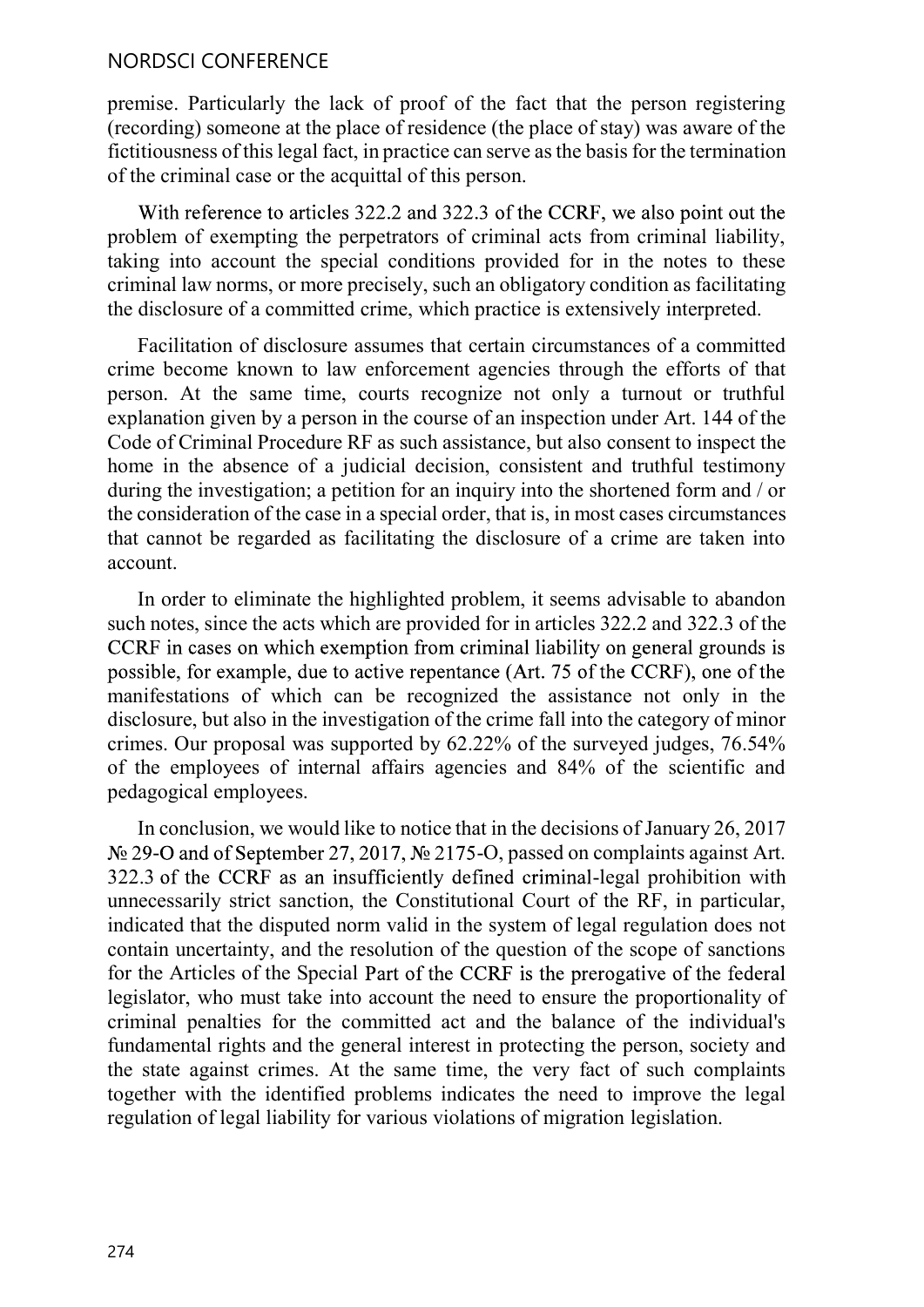#### NORDSCI CONFERENCE

premise. Particularly the lack of proof of the fact that the person registering (recording) someone at the place of residence (the place of stay) was aware of the fictitiousness of this legal fact, in practice can serve as the basis for the termination of the criminal case or the acquittal of this person.

With reference to articles 322.2 and 322.3 of the CCRF, we also point out the problem of exempting the perpetrators of criminal acts from criminal liability, taking into account the special conditions provided for in the notes to these criminal law norms, or more precisely, such an obligatory condition as facilitating the disclosure of a committed crime, which practice is extensively interpreted.

Facilitation of disclosure assumes that certain circumstances of a committed crime become known to law enforcement agencies through the efforts of that person. At the same time, courts recognize not only a turnout or truthful explanation given by a person in the course of an inspection under Art. 144 of the Code of Criminal Procedure RF as such assistance, but also consent to inspect the home in the absence of a judicial decision, consistent and truthful testimony during the investigation; a petition for an inquiry into the shortened form and / or the consideration of the case in a special order, that is, in most cases circumstances that cannot be regarded as facilitating the disclosure of a crime are taken into account.

In order to eliminate the highlighted problem, it seems advisable to abandon such notes, since the acts which are provided for in articles 322.2 and 322.3 of the CCRF in cases on which exemption from criminal liability on general grounds is possible, for example, due to active repentance (Art. 75 of the CCRF), one of the manifestations of which can be recognized the assistance not only in the disclosure, but also in the investigation of the crime fall into the category of minor crimes. Our proposal was supported by 62.22% of the surveyed judges, 76.54% of the employees of internal affairs agencies and 84% of the scientific and pedagogical employees.

In conclusion, we would like to notice that in the decisions of January 26, 2017  $N_e$  29-O and of September 27, 2017,  $N_e$  2175-O, passed on complaints against Art. 322.3 of the CCRF as an insufficiently defined criminal-legal prohibition with unnecessarily strict sanction, the Constitutional Court of the RF, in particular, indicated that the disputed norm valid in the system of legal regulation does not contain uncertainty, and the resolution of the question of the scope of sanctions for the Articles of the Special Part of the CCRF is the prerogative of the federal legislator, who must take into account the need to ensure the proportionality of criminal penalties for the committed act and the balance of the individual's fundamental rights and the general interest in protecting the person, society and the state against crimes. At the same time, the very fact of such complaints together with the identified problems indicates the need to improve the legal regulation of legal liability for various violations of migration legislation.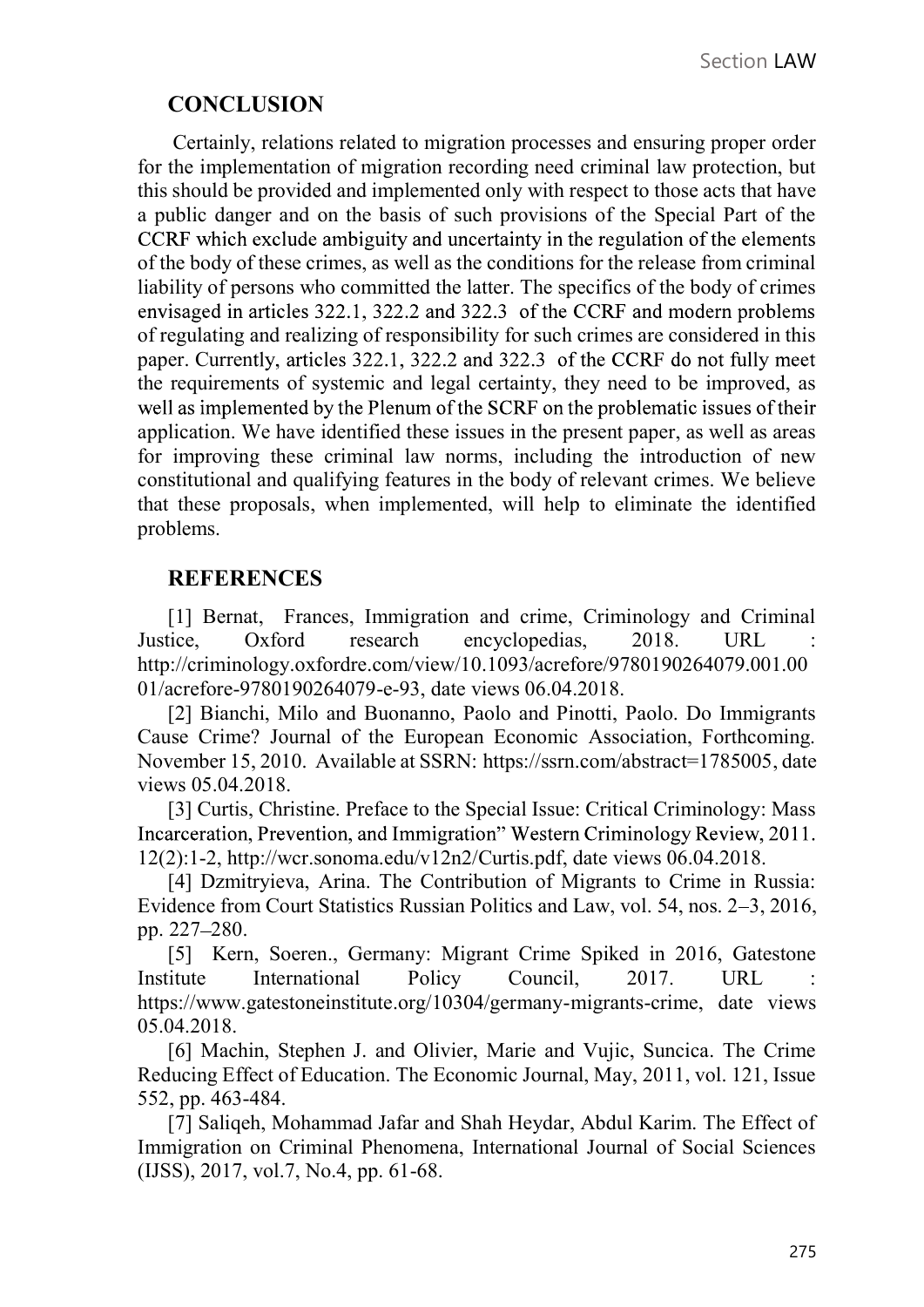# **CONCLUSION**

 Certainly, relations related to migration processes and ensuring proper order for the implementation of migration recording need criminal law protection, but this should be provided and implemented only with respect to those acts that have a public danger and on the basis of such provisions of the Special Part of the CCRF which exclude ambiguity and uncertainty in the regulation of the elements of the body of these crimes, as well as the conditions for the release from criminal liability of persons who committed the latter. The specifics of the body of crimes envisaged in articles 322.1, 322.2 and 322.3 of the CCRF and modern problems of regulating and realizing of responsibility for such crimes are considered in this paper. Currently, articles 322.1, 322.2 and 322.3 of the CCRF do not fully meet the requirements of systemic and legal certainty, they need to be improved, as well as implemented by the Plenum of the SCRF on the problematic issues of their application. We have identified these issues in the present paper, as well as areas for improving these criminal law norms, including the introduction of new constitutional and qualifying features in the body of relevant crimes. We believe that these proposals, when implemented, will help to eliminate the identified problems.

# **REFERENCES**

[1] Bernat, Frances, Immigration and crime, Criminology and Criminal Justice, Oxford research encyclopedias, 2018. URL http://criminology.oxfordre.com/view/10.1093/acrefore/9780190264079.001.00 01/acrefore-9780190264079-e-93, date views 06.04.2018.

[2] Bianchi, Milo and Buonanno, Paolo and Pinotti, Paolo. Do Immigrants Cause Crime? Journal of the European Economic Association, Forthcoming. November 15, 2010. Available at SSRN: https://ssrn.com/abstract=1785005, date views 05.04.2018.

[3] Curtis, Christine. Preface to the Special Issue: Critical Criminology: Mass Incarceration, Prevention, and Immigration" Western Criminology Review, 2011. 12(2):1-2, http://wcr.sonoma.edu/v12n2/Curtis.pdf, date views 06.04.2018.

[4] Dzmitryieva, Arina. The Contribution of Migrants to Crime in Russia: Evidence from Court Statistics Russian Politics and Law, vol. 54, nos. 2–3, 2016, pp. 227–280.

[5] Kern, Soeren., Germany: Migrant Crime Spiked in 2016, Gatestone Institute International Policy Council, 2017. URL : https://www.gatestoneinstitute.org/10304/germany-migrants-crime, date views 05.04.2018.

[6] Machin, Stephen J. and Olivier, Marie and Vujic, Suncica. The Crime Reducing Effect of Education. The Economic Journal, May, 2011, vol. 121, Issue 552, pp. 463-484.

[7] Saliqeh, Mohammad Jafar and Shah Heydar, Abdul Karim. The Effect of Immigration on Criminal Phenomena, International Journal of Social Sciences (IJSS), 2017, vol.7, No.4, pp. 61-68.